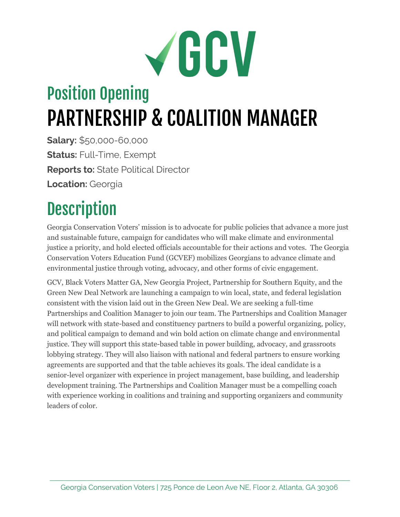# VGCV

## Position Opening PARTNERSHIP & COALITION MANAGER

**Salary:** \$50,000-60,000 **Status:** Full-Time, Exempt **Reports to:** State Political Director **Location:** Georgia

### **Description**

Georgia Conservation Voters' mission is to advocate for public policies that advance a more just and sustainable future, campaign for candidates who will make climate and environmental justice a priority, and hold elected officials accountable for their actions and votes. The Georgia Conservation Voters Education Fund (GCVEF) mobilizes Georgians to advance climate and environmental justice through voting, advocacy, and other forms of civic engagement.

GCV, Black Voters Matter GA, New Georgia Project, Partnership for Southern Equity, and the Green New Deal Network are launching a campaign to win local, state, and federal legislation consistent with the vision laid out in the Green New Deal. We are seeking a full-time Partnerships and Coalition Manager to join our team. The Partnerships and Coalition Manager will network with state-based and constituency partners to build a powerful organizing, policy, and political campaign to demand and win bold action on climate change and environmental justice. They will support this state-based table in power building, advocacy, and grassroots lobbying strategy. They will also liaison with national and federal partners to ensure working agreements are supported and that the table achieves its goals. The ideal candidate is a senior-level organizer with experience in project management, base building, and leadership development training. The Partnerships and Coalition Manager must be a compelling coach with experience working in coalitions and training and supporting organizers and community leaders of color.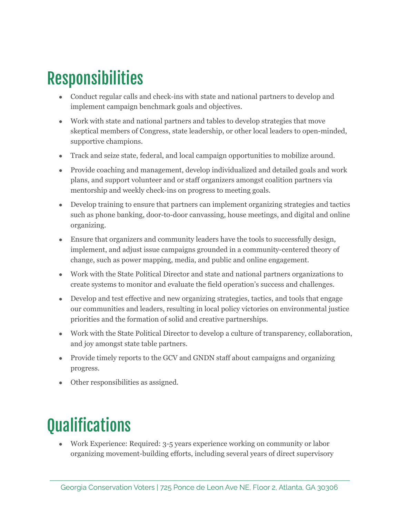#### Responsibilities

- Conduct regular calls and check-ins with state and national partners to develop and implement campaign benchmark goals and objectives.
- Work with state and national partners and tables to develop strategies that move skeptical members of Congress, state leadership, or other local leaders to open-minded, supportive champions.
- Track and seize state, federal, and local campaign opportunities to mobilize around.
- Provide coaching and management, develop individualized and detailed goals and work plans, and support volunteer and or staff organizers amongst coalition partners via mentorship and weekly check-ins on progress to meeting goals.
- Develop training to ensure that partners can implement organizing strategies and tactics such as phone banking, door-to-door canvassing, house meetings, and digital and online organizing.
- Ensure that organizers and community leaders have the tools to successfully design, implement, and adjust issue campaigns grounded in a community-centered theory of change, such as power mapping, media, and public and online engagement.
- Work with the State Political Director and state and national partners organizations to create systems to monitor and evaluate the field operation's success and challenges.
- Develop and test effective and new organizing strategies, tactics, and tools that engage our communities and leaders, resulting in local policy victories on environmental justice priorities and the formation of solid and creative partnerships.
- Work with the State Political Director to develop a culture of transparency, collaboration, and joy amongst state table partners.
- Provide timely reports to the GCV and GNDN staff about campaigns and organizing progress.
- Other responsibilities as assigned.

#### **Qualifications**

• Work Experience: Required: 3-5 years experience working on community or labor organizing movement-building efforts, including several years of direct supervisory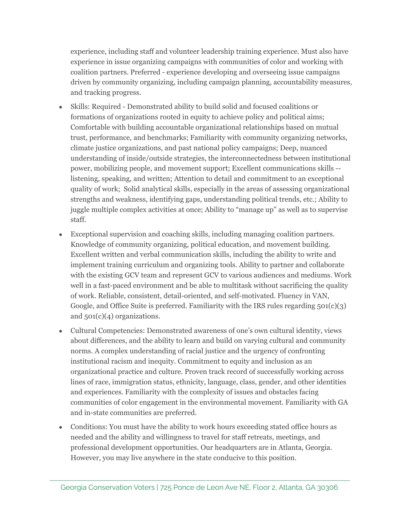experience, including staff and volunteer leadership training experience. Must also have experience in issue organizing campaigns with communities of color and working with coalition partners. Preferred - experience developing and overseeing issue campaigns driven by community organizing, including campaign planning, accountability measures, and tracking progress.

- Skills: Required Demonstrated ability to build solid and focused coalitions or formations of organizations rooted in equity to achieve policy and political aims; Comfortable with building accountable organizational relationships based on mutual trust, performance, and benchmarks; Familiarity with community organizing networks, climate justice organizations, and past national policy campaigns; Deep, nuanced understanding of inside/outside strategies, the interconnectedness between institutional power, mobilizing people, and movement support; Excellent communications skills - listening, speaking, and written; Attention to detail and commitment to an exceptional quality of work; Solid analytical skills, especially in the areas of assessing organizational strengths and weakness, identifying gaps, understanding political trends, etc.; Ability to juggle multiple complex activities at once; Ability to "manage up" as well as to supervise staff.
- Exceptional supervision and coaching skills, including managing coalition partners. Knowledge of community organizing, political education, and movement building. Excellent written and verbal communication skills, including the ability to write and implement training curriculum and organizing tools. Ability to partner and collaborate with the existing GCV team and represent GCV to various audiences and mediums. Work well in a fast-paced environment and be able to multitask without sacrificing the quality of work. Reliable, consistent, detail-oriented, and self-motivated. Fluency in VAN, Google, and Office Suite is preferred. Familiarity with the IRS rules regarding  $501(c)(3)$ and 501(c)(4) organizations.
- Cultural Competencies: Demonstrated awareness of one's own cultural identity, views about differences, and the ability to learn and build on varying cultural and community norms. A complex understanding of racial justice and the urgency of confronting institutional racism and inequity. Commitment to equity and inclusion as an organizational practice and culture. Proven track record of successfully working across lines of race, immigration status, ethnicity, language, class, gender, and other identities and experiences. Familiarity with the complexity of issues and obstacles facing communities of color engagement in the environmental movement. Familiarity with GA and in-state communities are preferred.
- Conditions: You must have the ability to work hours exceeding stated office hours as needed and the ability and willingness to travel for staff retreats, meetings, and professional development opportunities. Our headquarters are in Atlanta, Georgia. However, you may live anywhere in the state conducive to this position.